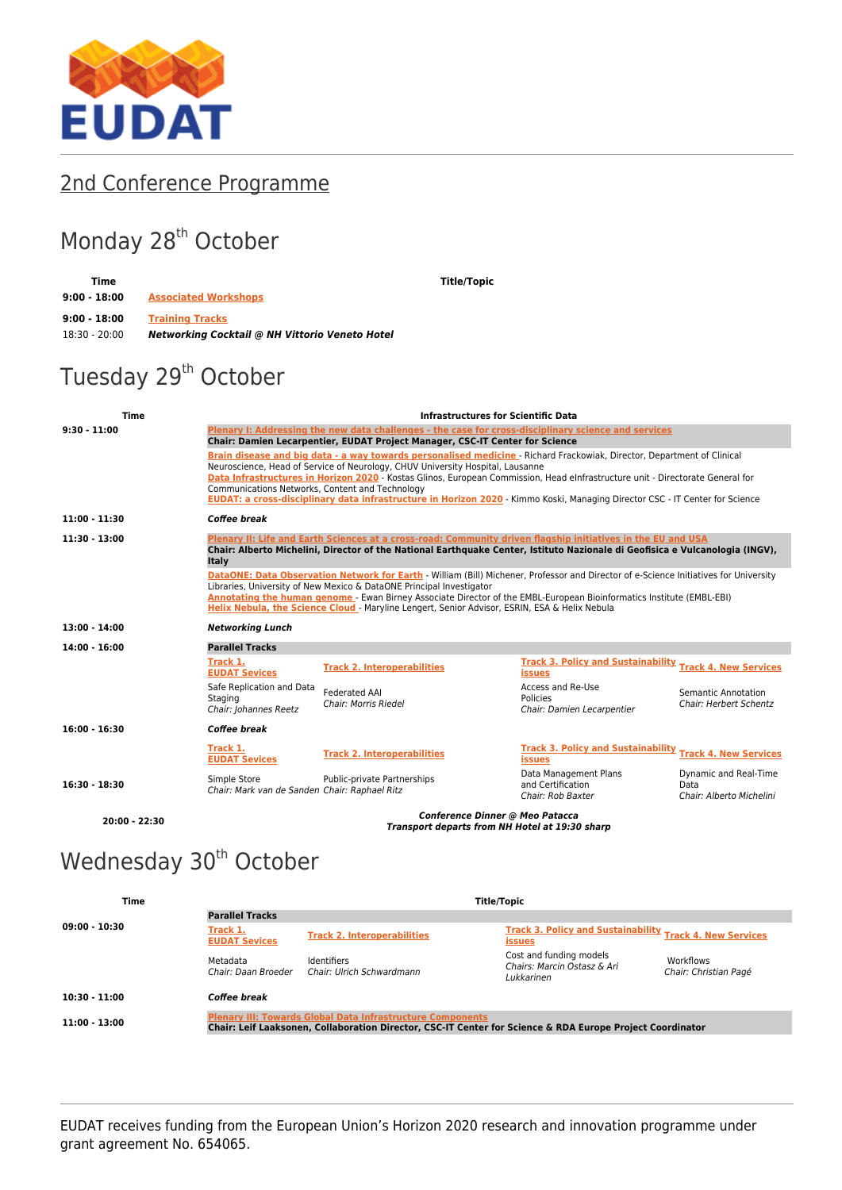

## [2nd Conference Programme](https://www.eudat.eu/2nd-conference-programme)

## Monday 28<sup>th</sup> October

**Time Title/Topic 9:00 - 18:00 [Associated Workshops](http://www.eudat.eu/eudat-2nd-conference-workshops) 9:00 - 18:00 [Training Tracks](http://www.eudat.eu/eudat-2nd-conference-training-tracks)** 18:30 - 20:00 *Networking Cocktail @ NH Vittorio Veneto Hotel*

## Tuesday 29<sup>th</sup> October

| <b>Time</b>     | <b>Infrastructures for Scientific Data</b>                                                                                                                                                                                                                                                                                                                                                                                                                                                                                     |                                                                                                                                                                                                                                              |                                                                                  |                                                           |  |  |
|-----------------|--------------------------------------------------------------------------------------------------------------------------------------------------------------------------------------------------------------------------------------------------------------------------------------------------------------------------------------------------------------------------------------------------------------------------------------------------------------------------------------------------------------------------------|----------------------------------------------------------------------------------------------------------------------------------------------------------------------------------------------------------------------------------------------|----------------------------------------------------------------------------------|-----------------------------------------------------------|--|--|
| $9:30 - 11:00$  | Plenary I: Addressing the new data challenges - the case for cross-disciplinary science and services<br>Chair: Damien Lecarpentier, EUDAT Project Manager, CSC-IT Center for Science                                                                                                                                                                                                                                                                                                                                           |                                                                                                                                                                                                                                              |                                                                                  |                                                           |  |  |
|                 | Brain disease and big data - a way towards personalised medicine - Richard Frackowiak, Director, Department of Clinical<br>Neuroscience, Head of Service of Neurology, CHUV University Hospital, Lausanne<br>Data Infrastructures in Horizon 2020 - Kostas Glinos, European Commission, Head elnfrastructure unit - Directorate General for<br>Communications Networks, Content and Technology<br>EUDAT: a cross-disciplinary data infrastructure in Horizon 2020 - Kimmo Koski, Managing Director CSC - IT Center for Science |                                                                                                                                                                                                                                              |                                                                                  |                                                           |  |  |
| $11:00 - 11:30$ | Coffee break                                                                                                                                                                                                                                                                                                                                                                                                                                                                                                                   |                                                                                                                                                                                                                                              |                                                                                  |                                                           |  |  |
| $11:30 - 13:00$ | Italy                                                                                                                                                                                                                                                                                                                                                                                                                                                                                                                          | Plenary II: Life and Earth Sciences at a cross-road: Community driven flagship initiatives in the EU and USA<br>Chair: Alberto Michelini, Director of the National Earthquake Center, Istituto Nazionale di Geofisica e Vulcanologia (INGV), |                                                                                  |                                                           |  |  |
|                 | DataONE: Data Observation Network for Earth - William (Bill) Michener, Professor and Director of e-Science Initiatives for University<br>Libraries, University of New Mexico & DataONE Principal Investigator<br>Annotating the human genome - Ewan Birney Associate Director of the EMBL-European Bioinformatics Institute (EMBL-EBI)<br>Helix Nebula, the Science Cloud - Maryline Lengert, Senior Advisor, ESRIN, ESA & Helix Nebula                                                                                        |                                                                                                                                                                                                                                              |                                                                                  |                                                           |  |  |
| 13:00 - 14:00   | <b>Networking Lunch</b>                                                                                                                                                                                                                                                                                                                                                                                                                                                                                                        |                                                                                                                                                                                                                                              |                                                                                  |                                                           |  |  |
| $14:00 - 16:00$ | <b>Parallel Tracks</b>                                                                                                                                                                                                                                                                                                                                                                                                                                                                                                         |                                                                                                                                                                                                                                              |                                                                                  |                                                           |  |  |
|                 | Track 1.<br><b>EUDAT Sevices</b>                                                                                                                                                                                                                                                                                                                                                                                                                                                                                               | <b>Track 2. Interoperabilities</b>                                                                                                                                                                                                           | <b>Track 3. Policy and Sustainability Track 4. New Services</b><br><b>issues</b> |                                                           |  |  |
|                 | Safe Replication and Data<br>Staging<br>Chair: Johannes Reetz                                                                                                                                                                                                                                                                                                                                                                                                                                                                  | <b>Federated AAI</b><br>Chair: Morris Riedel                                                                                                                                                                                                 | Access and Re-Use<br>Policies<br>Chair: Damien Lecarpentier                      | Semantic Annotation<br><b>Chair: Herbert Schentz</b>      |  |  |
| $16:00 - 16:30$ | Coffee break                                                                                                                                                                                                                                                                                                                                                                                                                                                                                                                   |                                                                                                                                                                                                                                              |                                                                                  |                                                           |  |  |
|                 | Track 1.<br><b>EUDAT Sevices</b>                                                                                                                                                                                                                                                                                                                                                                                                                                                                                               | <b>Track 2. Interoperabilities</b>                                                                                                                                                                                                           | <b>Track 3. Policy and Sustainability</b><br><b>issues</b>                       | <b>Track 4. New Services</b>                              |  |  |
| $16:30 - 18:30$ | Simple Store<br>Chair: Mark van de Sanden Chair: Raphael Ritz                                                                                                                                                                                                                                                                                                                                                                                                                                                                  | Public-private Partnerships                                                                                                                                                                                                                  | Data Management Plans<br>and Certification<br>Chair: Rob Baxter                  | Dynamic and Real-Time<br>Data<br>Chair: Alberto Michelini |  |  |
| $20:00 - 22:30$ | Conference Dinner @ Meo Patacca<br>Transport departs from NH Hotel at 19:30 sharp                                                                                                                                                                                                                                                                                                                                                                                                                                              |                                                                                                                                                                                                                                              |                                                                                  |                                                           |  |  |

## Wednesday 30<sup>th</sup> October

| Time            | Title/Topic                                                                                                                                                                    |                                                 |                                                                                  |                                    |  |
|-----------------|--------------------------------------------------------------------------------------------------------------------------------------------------------------------------------|-------------------------------------------------|----------------------------------------------------------------------------------|------------------------------------|--|
|                 | <b>Parallel Tracks</b>                                                                                                                                                         |                                                 |                                                                                  |                                    |  |
| $09:00 - 10:30$ | Track 1.<br><b>EUDAT Sevices</b>                                                                                                                                               | <b>Track 2. Interoperabilities</b>              | <b>Track 3. Policy and Sustainability Track 4. New Services</b><br><b>issues</b> |                                    |  |
|                 | Metadata<br>Chair: Daan Broeder                                                                                                                                                | <b>Identifiers</b><br>Chair: Ulrich Schwardmann | Cost and funding models<br>Chairs: Marcin Ostasz & Ari<br>Lukkarinen             | Workflows<br>Chair: Christian Pagé |  |
| $10:30 - 11:00$ | Coffee break                                                                                                                                                                   |                                                 |                                                                                  |                                    |  |
| $11:00 - 13:00$ | <b>Plenary III: Towards Global Data Infrastructure Components</b><br>Chair: Leif Laaksonen, Collaboration Director, CSC-IT Center for Science & RDA Europe Project Coordinator |                                                 |                                                                                  |                                    |  |

EUDAT receives funding from the European Union's Horizon 2020 research and innovation programme under grant agreement No. 654065.